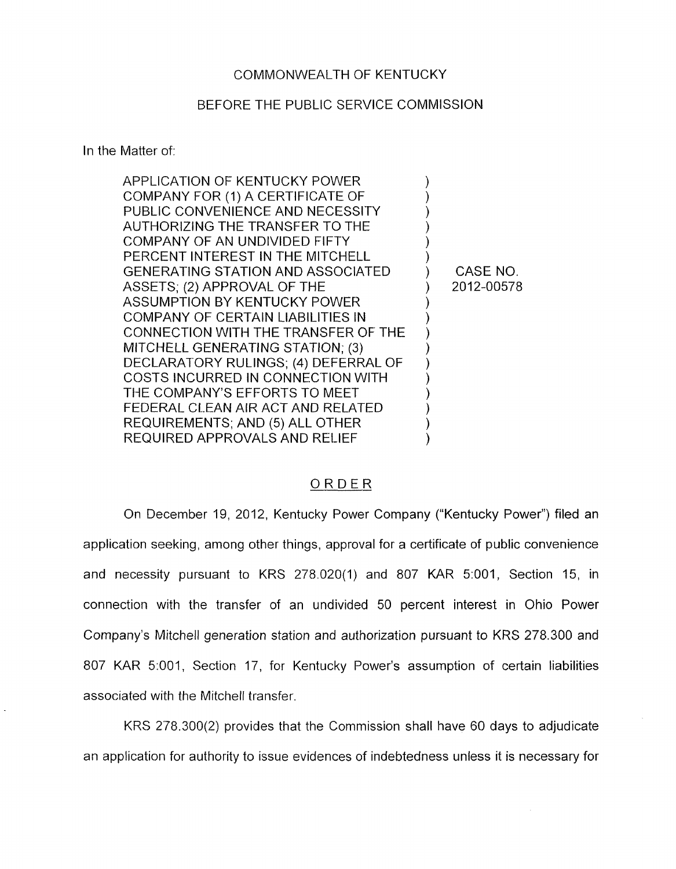### COMMONWEALTH OF KENTUCKY

#### BEFORE THE PUBLIC SERVICE COMMISSION

## In the Matter of:

| APPLICATION OF KENTUCKY POWER            |            |
|------------------------------------------|------------|
| COMPANY FOR (1) A CERTIFICATE OF         |            |
| PUBLIC CONVENIENCE AND NECESSITY         |            |
| AUTHORIZING THE TRANSFER TO THE          |            |
| COMPANY OF AN UNDIVIDED FIFTY            |            |
| PERCENT INTEREST IN THE MITCHELL         |            |
| <b>GENERATING STATION AND ASSOCIATED</b> | CASE NO.   |
| ASSETS; (2) APPROVAL OF THE              | 2012-00578 |
| ASSUMPTION BY KENTUCKY POWER             |            |
| COMPANY OF CERTAIN LIABILITIES IN        |            |
| CONNECTION WITH THE TRANSFER OF THE      |            |
| MITCHELL GENERATING STATION; (3)         |            |
| DECLARATORY RULINGS; (4) DEFERRAL OF     |            |
| COSTS INCURRED IN CONNECTION WITH        |            |
| THE COMPANY'S EFFORTS TO MEET            |            |
| FEDERAL CLEAN AIR ACT AND RELATED        |            |
| REQUIREMENTS; AND (5) ALL OTHER          |            |
| REQUIRED APPROVALS AND RELIEF            |            |

#### ORDER

On December 19, 2012, Kentucky Power Company ("Kentucky Power") filed an application seeking, among other things, approval for a certificate of public convenience and necessity pursuant to KRS 278.020(1) and 807 KAR 5:001, Section 15, in connection with the transfer of an undivided 50 percent interest in Ohio Power Company's Mitchell generation station and authorization pursuant to KRS 278.300 and 807 KAR 5:001, Section 17, for Kentucky Power's assumption of certain liabilities associated with the Mitchell transfer.

KRS 278.300(2) provides that the Commission shall have 60 days to adjudicate an application for authority to issue evidences of indebtedness unless it is necessary for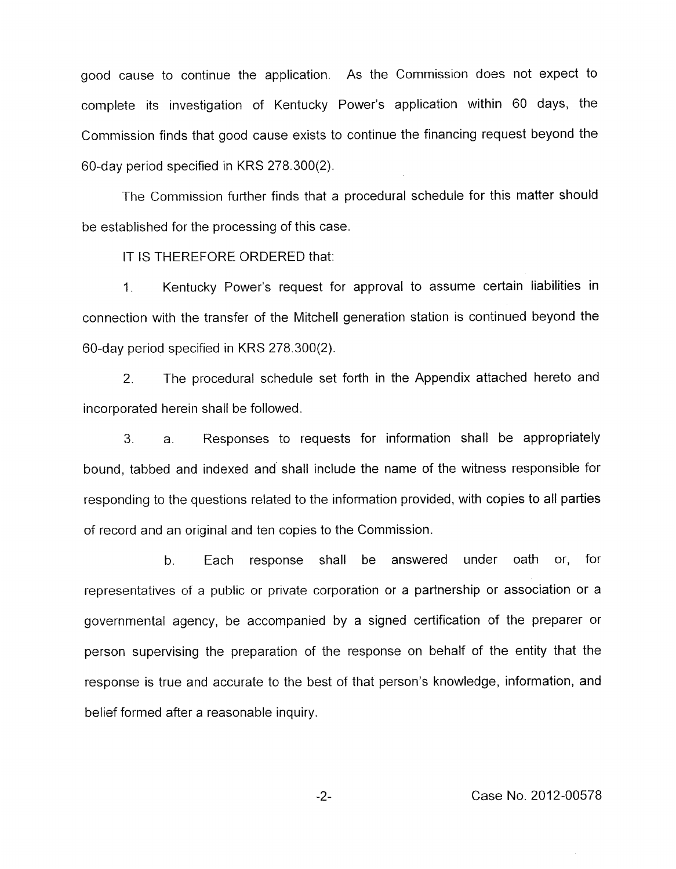good cause to continue the application. As the Commission does not expect to complete its investigation of Kentucky Power's application within 60 days, the Commission finds that good cause exists to continue the financing request beyond the 60-day period specified in KRS 278.300(2).

The Commission further finds that a procedural schedule for this matter should be established for the processing of this case.

IT IS THEREFORE ORDERED that:

1. Kentucky Power's request for approval to assume certain liabilities in connection with the transfer of the Mitchell generation station is continued beyond the 60-day period specified in KRS 278.300(2).

*2.* The procedural schedule set forth in the Appendix attached hereto and incorporated herein shall be followed.

3. a. Responses to requests for information shall be appropriately bound, tabbed and indexed and shall include the name of the witness responsible for responding to the questions related to the information provided, with copies to all parties of record and an original and ten copies to the Commission.

b. Each response shall be answered under oath or, for representatives of a public or private corporation or a partnership or association or a governmental agency, be accompanied by a signed certification of the preparer or person supervising the preparation of the response on behalf of the entity that the response is true and accurate to the best of that person's knowledge, information, and belief formed after a reasonable inquiry.

*-2-* Case No. 2012-00578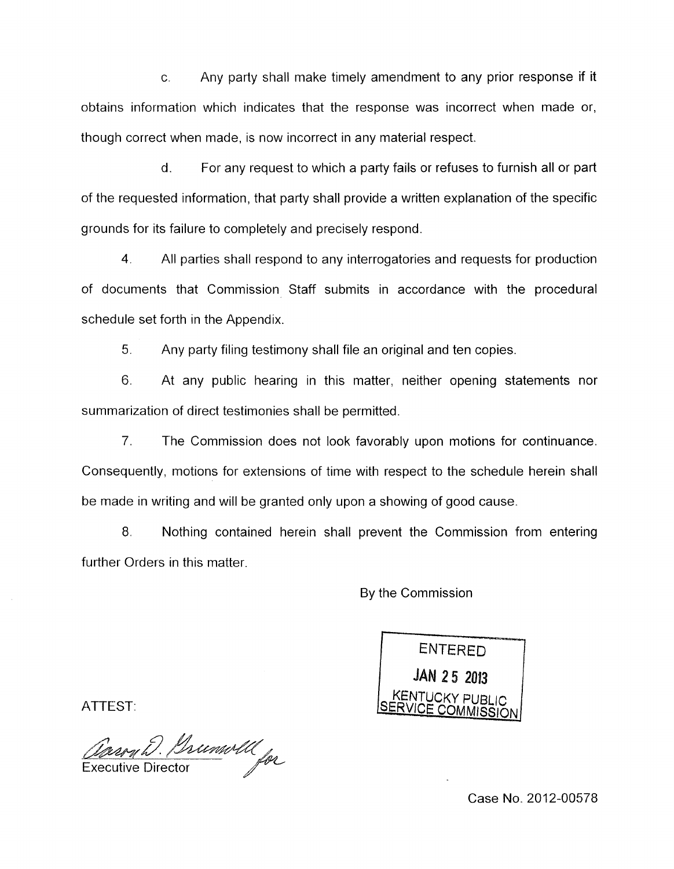C Any party shall make timely amendment to any prior response if it abtains information which indicates that the response was incorrect when made or, though correct when made, is now incorrect in any material respect.

d. For any request to which a party fails or refuses to furnish all or part of the requested information, that party shall provide a written explanation of the specific grounds for its failure to completely and precisely respond.

**4.** All parties shall respond to any interrogatories and requests for production of documents that Commission Staff submits in accordance with the procedural schedule set forth in the Appendix.

5. Any party filing testimony shall file an original and ten copies.

6. At any public hearing in this matter, neither opening statements nor summarization of direct testimonies shall be permitted.

7. The Commission does not look favorably upon motions for continuance. Consequently, motions for extensions of time with respect to the schedule herein shall be made in writing and will be granted only upon a showing of good cause.

8. Nothing contained herein shall prevent the Commission from entering further Orders in this matter.

By the Commission

**ENTERED JAN 25 2013** 

ATTEST:

Forght. Brunwell for

Case No. 2012-00578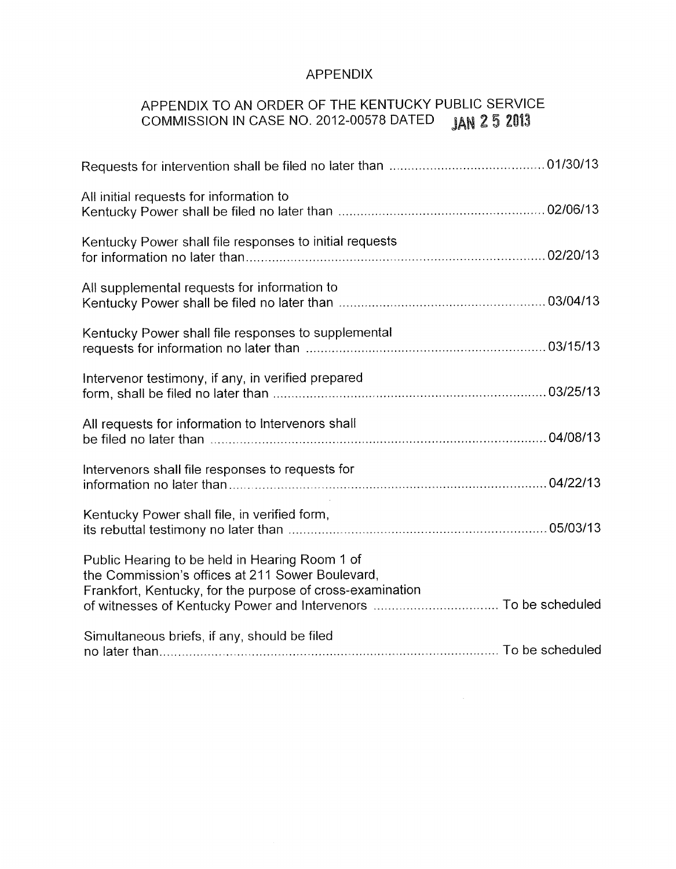# APPENDIX

# APPENDIX TO AN ORDER OF THE KENTUCKY PUBLIC SERVICE<br>COMMISSION IN CASE NO. 2012-00578 DATED JAN 2 5 2013 COMMISSION IN CASE NO. 2012-00578 DATED

| All initial requests for information to                                                                                                                         |  |
|-----------------------------------------------------------------------------------------------------------------------------------------------------------------|--|
| Kentucky Power shall file responses to initial requests                                                                                                         |  |
| All supplemental requests for information to                                                                                                                    |  |
| Kentucky Power shall file responses to supplemental                                                                                                             |  |
| Intervenor testimony, if any, in verified prepared                                                                                                              |  |
| All requests for information to Intervenors shall                                                                                                               |  |
| Intervenors shall file responses to requests for                                                                                                                |  |
| Kentucky Power shall file, in verified form,                                                                                                                    |  |
| Public Hearing to be held in Hearing Room 1 of<br>the Commission's offices at 211 Sower Boulevard,<br>Frankfort, Kentucky, for the purpose of cross-examination |  |
| Simultaneous briefs, if any, should be filed                                                                                                                    |  |